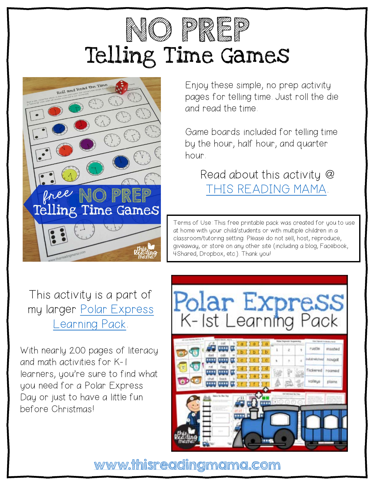## NO PREP Telling Time Games



Enjoy these simple, no prep activity pages for telling time. Just roll the die and read the time.

Game boards included for telling time by the hour, half hour, and quarter hour.

Read about this activity @ [THIS READING MAMA.](http://wp.me/p6SdkS-ap3)

Terms of Use: This free printable pack was created for you to use at home with your child/students or with multiple children in a classroom/tutoring setting. Please do not sell, host, reproduce, giveaway, or store on any other site (including a blog, Facebook, 4Shared, Dropbox, etc.). Thank you!

This activity is a part of my l[arger Polar Express](http://thisreadingmama.com/product/polar-express-learning-pack/) Learning Pack.

With nearly 200 pages of literacy and math activities for K-1 learners, you're sure to find what you need for a Polar Express Day or just to have a little fun before Christmas!

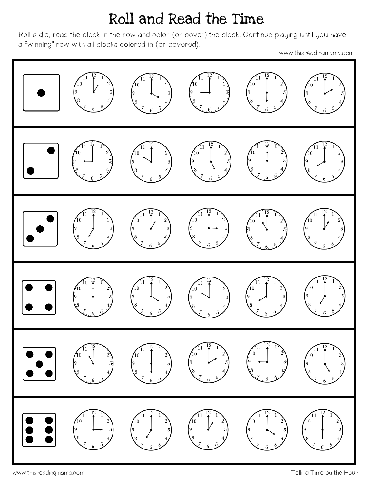### Roll and Read the Time

Roll a die, read the clock in the row and color (or cover) the clock. Continue playing until you have a "winning" row with all clocks colored in (or covered).

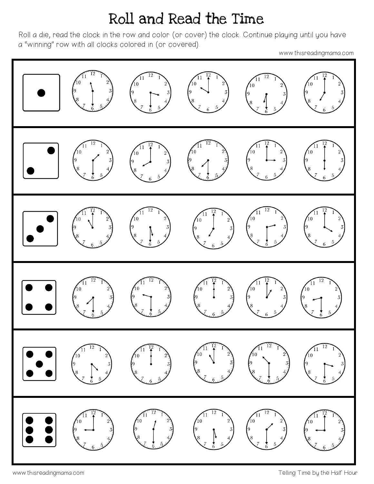### Roll and Read the Time

Roll a die, read the clock in the row and color (or cover) the clock. Continue playing until you have a "winning" row with all clocks colored in (or covered).

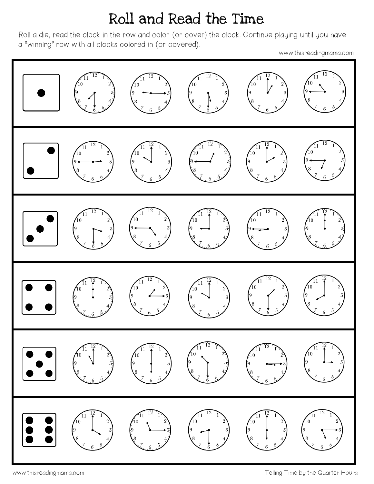### Roll and Read the Time

Roll a die, read the clock in the row and color (or cover) the clock. Continue playing until you have a "winning" row with all clocks colored in (or covered).